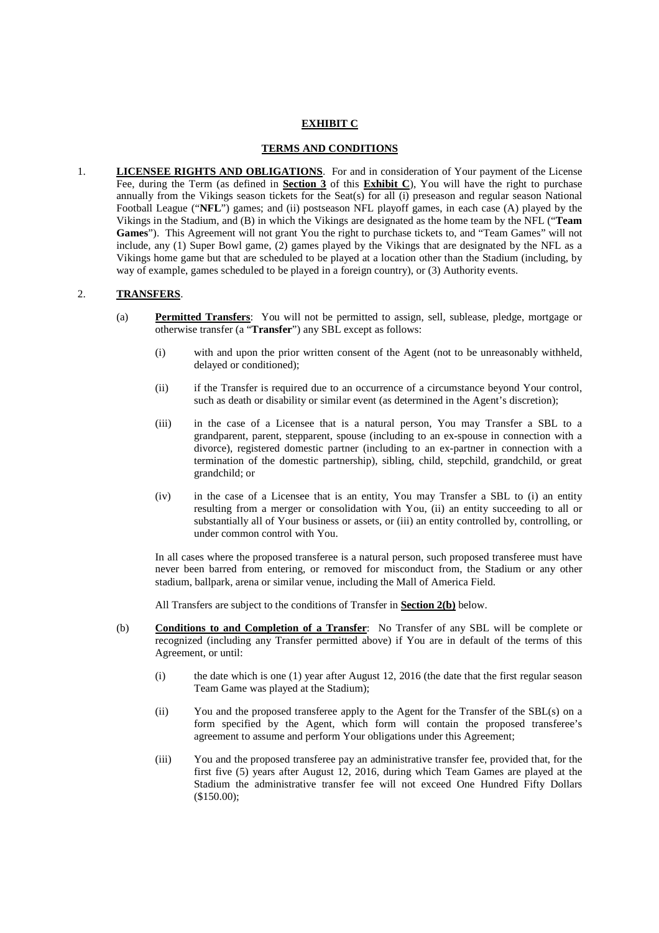### **EXHIBIT C**

#### **TERMS AND CONDITIONS**

1. **LICENSEE RIGHTS AND OBLIGATIONS**. For and in consideration of Your payment of the License Fee, during the Term (as defined in **Section 3** of this **Exhibit C**), You will have the right to purchase annually from the Vikings season tickets for the Seat(s) for all (i) preseason and regular season National Football League ("**NFL**") games; and (ii) postseason NFL playoff games, in each case (A) played by the Vikings in the Stadium, and (B) in which the Vikings are designated as the home team by the NFL ("**Team Games**"). This Agreement will not grant You the right to purchase tickets to, and "Team Games" will not include, any (1) Super Bowl game, (2) games played by the Vikings that are designated by the NFL as a Vikings home game but that are scheduled to be played at a location other than the Stadium (including, by way of example, games scheduled to be played in a foreign country), or (3) Authority events.

#### 2. **TRANSFERS**.

- (a) **Permitted Transfers**: You will not be permitted to assign, sell, sublease, pledge, mortgage or otherwise transfer (a "**Transfer**") any SBL except as follows:
	- (i) with and upon the prior written consent of the Agent (not to be unreasonably withheld, delayed or conditioned);
	- (ii) if the Transfer is required due to an occurrence of a circumstance beyond Your control, such as death or disability or similar event (as determined in the Agent's discretion);
	- (iii) in the case of a Licensee that is a natural person, You may Transfer a SBL to a grandparent, parent, stepparent, spouse (including to an ex-spouse in connection with a divorce), registered domestic partner (including to an ex-partner in connection with a termination of the domestic partnership), sibling, child, stepchild, grandchild, or great grandchild; or
	- (iv) in the case of a Licensee that is an entity, You may Transfer a SBL to (i) an entity resulting from a merger or consolidation with You, (ii) an entity succeeding to all or substantially all of Your business or assets, or (iii) an entity controlled by, controlling, or under common control with You.

In all cases where the proposed transferee is a natural person, such proposed transferee must have never been barred from entering, or removed for misconduct from, the Stadium or any other stadium, ballpark, arena or similar venue, including the Mall of America Field.

All Transfers are subject to the conditions of Transfer in **Section 2(b)** below.

- (b) **Conditions to and Completion of a Transfer**: No Transfer of any SBL will be complete or recognized (including any Transfer permitted above) if You are in default of the terms of this Agreement, or until:
	- (i) the date which is one (1) year after August 12, 2016 (the date that the first regular season Team Game was played at the Stadium);
	- (ii) You and the proposed transferee apply to the Agent for the Transfer of the SBL(s) on a form specified by the Agent, which form will contain the proposed transferee's agreement to assume and perform Your obligations under this Agreement;
	- (iii) You and the proposed transferee pay an administrative transfer fee, provided that, for the first five (5) years after August 12, 2016, during which Team Games are played at the Stadium the administrative transfer fee will not exceed One Hundred Fifty Dollars (\$150.00);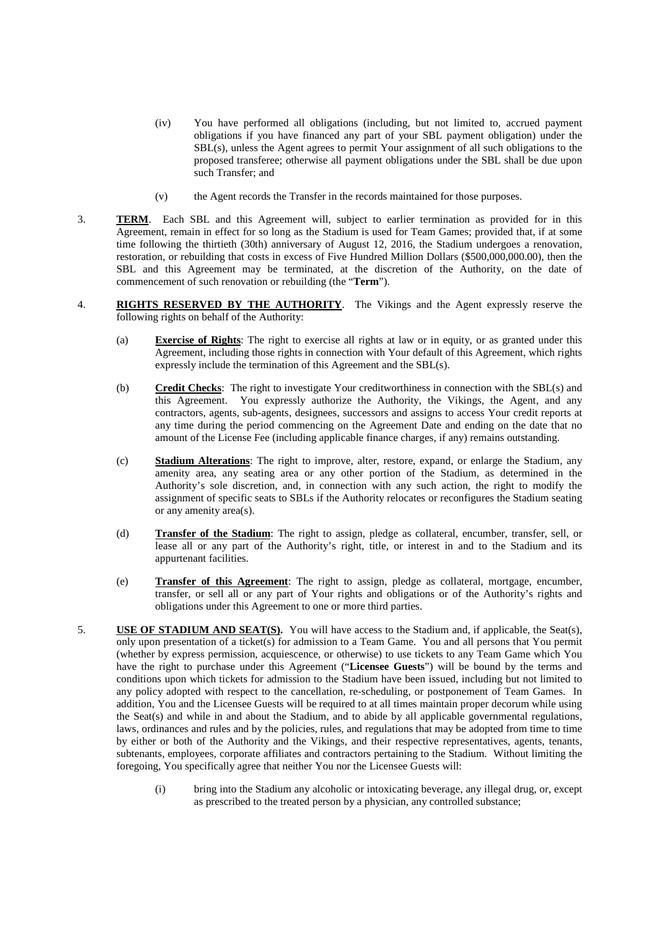- (iv) You have performed all obligations (including, but not limited to, accrued payment obligations if you have financed any part of your SBL payment obligation) under the SBL(s), unless the Agent agrees to permit Your assignment of all such obligations to the proposed transferee; otherwise all payment obligations under the SBL shall be due upon such Transfer; and
- (v) the Agent records the Transfer in the records maintained for those purposes.
- 3. **TERM**. Each SBL and this Agreement will, subject to earlier termination as provided for in this Agreement, remain in effect for so long as the Stadium is used for Team Games; provided that, if at some time following the thirtieth (30th) anniversary of August 12, 2016, the Stadium undergoes a renovation, restoration, or rebuilding that costs in excess of Five Hundred Million Dollars (\$500,000,000.00), then the SBL and this Agreement may be terminated, at the discretion of the Authority, on the date of commencement of such renovation or rebuilding (the "**Term**").
- 4. **RIGHTS RESERVED BY THE AUTHORITY**. The Vikings and the Agent expressly reserve the following rights on behalf of the Authority:
	- (a) **Exercise of Rights**: The right to exercise all rights at law or in equity, or as granted under this Agreement, including those rights in connection with Your default of this Agreement, which rights expressly include the termination of this Agreement and the SBL(s).
	- (b) **Credit Checks**: The right to investigate Your creditworthiness in connection with the SBL(s) and this Agreement. You expressly authorize the Authority, the Vikings, the Agent, and any contractors, agents, sub-agents, designees, successors and assigns to access Your credit reports at any time during the period commencing on the Agreement Date and ending on the date that no amount of the License Fee (including applicable finance charges, if any) remains outstanding.
	- (c) **Stadium Alterations**: The right to improve, alter, restore, expand, or enlarge the Stadium, any amenity area, any seating area or any other portion of the Stadium, as determined in the Authority's sole discretion, and, in connection with any such action, the right to modify the assignment of specific seats to SBLs if the Authority relocates or reconfigures the Stadium seating or any amenity area(s).
	- (d) **Transfer of the Stadium**: The right to assign, pledge as collateral, encumber, transfer, sell, or lease all or any part of the Authority's right, title, or interest in and to the Stadium and its appurtenant facilities.
	- (e) **Transfer of this Agreement**: The right to assign, pledge as collateral, mortgage, encumber, transfer, or sell all or any part of Your rights and obligations or of the Authority's rights and obligations under this Agreement to one or more third parties.
- 5. **USE OF STADIUM AND SEAT(S).** You will have access to the Stadium and, if applicable, the Seat(s), only upon presentation of a ticket(s) for admission to a Team Game. You and all persons that You permit (whether by express permission, acquiescence, or otherwise) to use tickets to any Team Game which You have the right to purchase under this Agreement ("**Licensee Guests**") will be bound by the terms and conditions upon which tickets for admission to the Stadium have been issued, including but not limited to any policy adopted with respect to the cancellation, re-scheduling, or postponement of Team Games. In addition, You and the Licensee Guests will be required to at all times maintain proper decorum while using the Seat(s) and while in and about the Stadium, and to abide by all applicable governmental regulations, laws, ordinances and rules and by the policies, rules, and regulations that may be adopted from time to time by either or both of the Authority and the Vikings, and their respective representatives, agents, tenants, subtenants, employees, corporate affiliates and contractors pertaining to the Stadium. Without limiting the foregoing, You specifically agree that neither You nor the Licensee Guests will:
	- (i) bring into the Stadium any alcoholic or intoxicating beverage, any illegal drug, or, except as prescribed to the treated person by a physician, any controlled substance;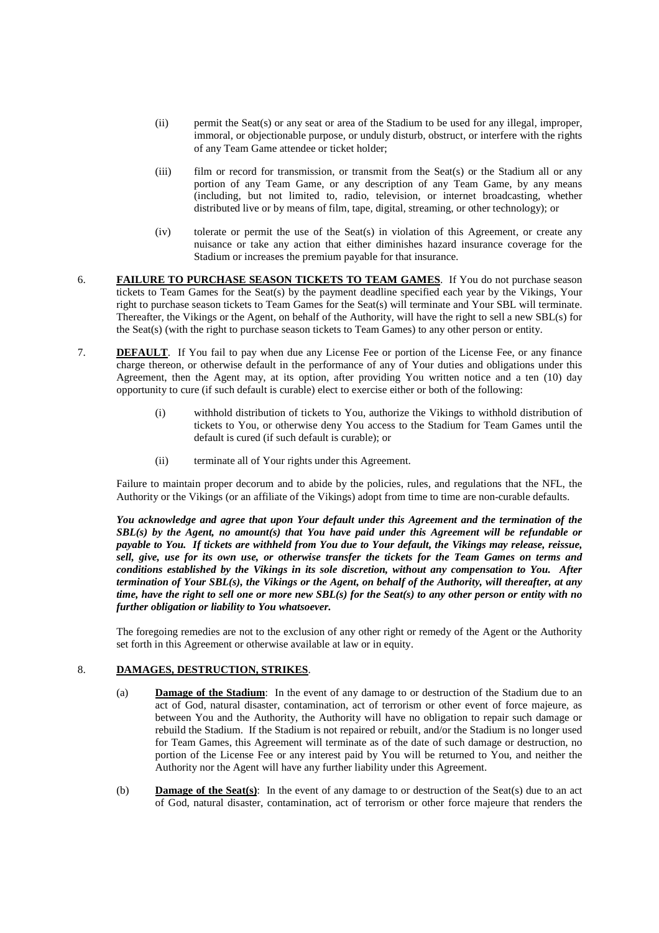- (ii) permit the Seat(s) or any seat or area of the Stadium to be used for any illegal, improper, immoral, or objectionable purpose, or unduly disturb, obstruct, or interfere with the rights of any Team Game attendee or ticket holder;
- (iii) film or record for transmission, or transmit from the Seat(s) or the Stadium all or any portion of any Team Game, or any description of any Team Game, by any means (including, but not limited to, radio, television, or internet broadcasting, whether distributed live or by means of film, tape, digital, streaming, or other technology); or
- (iv) tolerate or permit the use of the Seat(s) in violation of this Agreement, or create any nuisance or take any action that either diminishes hazard insurance coverage for the Stadium or increases the premium payable for that insurance.
- 6. **FAILURE TO PURCHASE SEASON TICKETS TO TEAM GAMES**. If You do not purchase season tickets to Team Games for the Seat(s) by the payment deadline specified each year by the Vikings, Your right to purchase season tickets to Team Games for the Seat(s) will terminate and Your SBL will terminate. Thereafter, the Vikings or the Agent, on behalf of the Authority, will have the right to sell a new SBL(s) for the Seat(s) (with the right to purchase season tickets to Team Games) to any other person or entity.
- 7. **DEFAULT**. If You fail to pay when due any License Fee or portion of the License Fee, or any finance charge thereon, or otherwise default in the performance of any of Your duties and obligations under this Agreement, then the Agent may, at its option, after providing You written notice and a ten (10) day opportunity to cure (if such default is curable) elect to exercise either or both of the following:
	- (i) withhold distribution of tickets to You, authorize the Vikings to withhold distribution of tickets to You, or otherwise deny You access to the Stadium for Team Games until the default is cured (if such default is curable); or
	- (ii) terminate all of Your rights under this Agreement.

Failure to maintain proper decorum and to abide by the policies, rules, and regulations that the NFL, the Authority or the Vikings (or an affiliate of the Vikings) adopt from time to time are non-curable defaults.

*You acknowledge and agree that upon Your default under this Agreement and the termination of the SBL(s) by the Agent, no amount(s) that You have paid under this Agreement will be refundable or payable to You. If tickets are withheld from You due to Your default, the Vikings may release, reissue, sell, give, use for its own use, or otherwise transfer the tickets for the Team Games on terms and conditions established by the Vikings in its sole discretion, without any compensation to You. After termination of Your SBL(s), the Vikings or the Agent, on behalf of the Authority, will thereafter, at any time, have the right to sell one or more new SBL(s) for the Seat(s) to any other person or entity with no further obligation or liability to You whatsoever.* 

The foregoing remedies are not to the exclusion of any other right or remedy of the Agent or the Authority set forth in this Agreement or otherwise available at law or in equity.

### 8. **DAMAGES, DESTRUCTION, STRIKES**.

- (a) **Damage of the Stadium**: In the event of any damage to or destruction of the Stadium due to an act of God, natural disaster, contamination, act of terrorism or other event of force majeure, as between You and the Authority, the Authority will have no obligation to repair such damage or rebuild the Stadium. If the Stadium is not repaired or rebuilt, and/or the Stadium is no longer used for Team Games, this Agreement will terminate as of the date of such damage or destruction, no portion of the License Fee or any interest paid by You will be returned to You, and neither the Authority nor the Agent will have any further liability under this Agreement.
- (b) **Damage of the Seat(s)**: In the event of any damage to or destruction of the Seat(s) due to an act of God, natural disaster, contamination, act of terrorism or other force majeure that renders the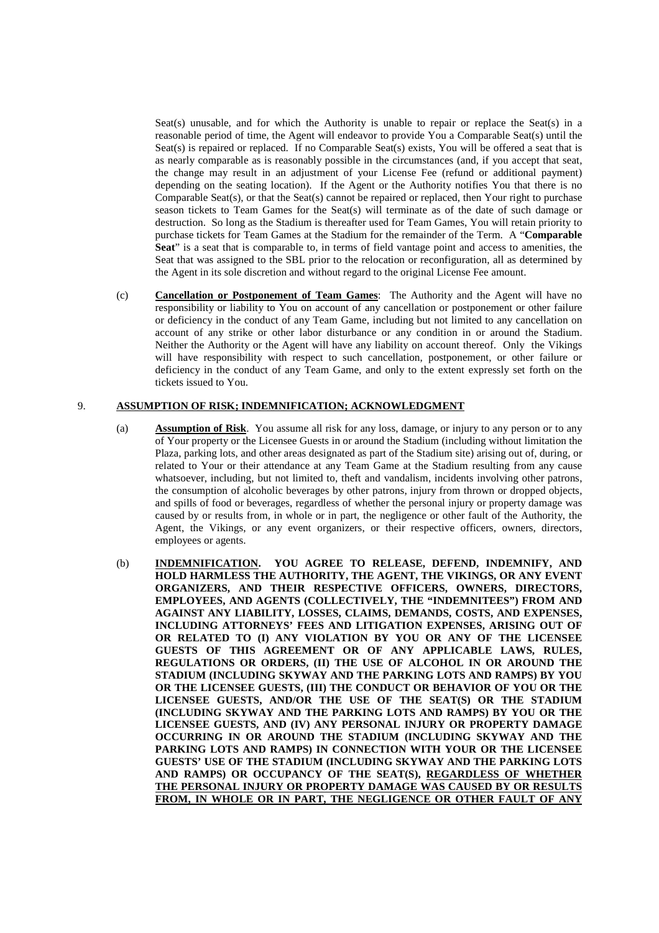Seat(s) unusable, and for which the Authority is unable to repair or replace the Seat(s) in a reasonable period of time, the Agent will endeavor to provide You a Comparable Seat(s) until the Seat(s) is repaired or replaced. If no Comparable Seat(s) exists, You will be offered a seat that is as nearly comparable as is reasonably possible in the circumstances (and, if you accept that seat, the change may result in an adjustment of your License Fee (refund or additional payment) depending on the seating location). If the Agent or the Authority notifies You that there is no Comparable Seat(s), or that the Seat(s) cannot be repaired or replaced, then Your right to purchase season tickets to Team Games for the Seat(s) will terminate as of the date of such damage or destruction. So long as the Stadium is thereafter used for Team Games, You will retain priority to purchase tickets for Team Games at the Stadium for the remainder of the Term. A "**Comparable Seat**" is a seat that is comparable to, in terms of field vantage point and access to amenities, the Seat that was assigned to the SBL prior to the relocation or reconfiguration, all as determined by the Agent in its sole discretion and without regard to the original License Fee amount.

(c) **Cancellation or Postponement of Team Games**: The Authority and the Agent will have no responsibility or liability to You on account of any cancellation or postponement or other failure or deficiency in the conduct of any Team Game, including but not limited to any cancellation on account of any strike or other labor disturbance or any condition in or around the Stadium. Neither the Authority or the Agent will have any liability on account thereof. Only the Vikings will have responsibility with respect to such cancellation, postponement, or other failure or deficiency in the conduct of any Team Game, and only to the extent expressly set forth on the tickets issued to You.

# 9. **ASSUMPTION OF RISK; INDEMNIFICATION; ACKNOWLEDGMENT**

- (a) **Assumption of Risk**. You assume all risk for any loss, damage, or injury to any person or to any of Your property or the Licensee Guests in or around the Stadium (including without limitation the Plaza, parking lots, and other areas designated as part of the Stadium site) arising out of, during, or related to Your or their attendance at any Team Game at the Stadium resulting from any cause whatsoever, including, but not limited to, theft and vandalism, incidents involving other patrons, the consumption of alcoholic beverages by other patrons, injury from thrown or dropped objects, and spills of food or beverages, regardless of whether the personal injury or property damage was caused by or results from, in whole or in part, the negligence or other fault of the Authority, the Agent, the Vikings, or any event organizers, or their respective officers, owners, directors, employees or agents.
- (b) **INDEMNIFICATION. YOU AGREE TO RELEASE, DEFEND, INDEMNIFY, AND HOLD HARMLESS THE AUTHORITY, THE AGENT, THE VIKINGS, OR ANY EVENT ORGANIZERS, AND THEIR RESPECTIVE OFFICERS, OWNERS, DIRECTORS, EMPLOYEES, AND AGENTS (COLLECTIVELY, THE "INDEMNITEES") FROM AND AGAINST ANY LIABILITY, LOSSES, CLAIMS, DEMANDS, COSTS, AND EXPENSES, INCLUDING ATTORNEYS' FEES AND LITIGATION EXPENSES, ARISING OUT OF OR RELATED TO (I) ANY VIOLATION BY YOU OR ANY OF THE LICENSEE GUESTS OF THIS AGREEMENT OR OF ANY APPLICABLE LAWS, RULES, REGULATIONS OR ORDERS, (II) THE USE OF ALCOHOL IN OR AROUND THE STADIUM (INCLUDING SKYWAY AND THE PARKING LOTS AND RAMPS) BY YOU OR THE LICENSEE GUESTS, (III) THE CONDUCT OR BEHAVIOR OF YOU OR THE LICENSEE GUESTS, AND/OR THE USE OF THE SEAT(S) OR THE STADIUM (INCLUDING SKYWAY AND THE PARKING LOTS AND RAMPS) BY YOU OR THE LICENSEE GUESTS, AND (IV) ANY PERSONAL INJURY OR PROPERTY DAMAGE OCCURRING IN OR AROUND THE STADIUM (INCLUDING SKYWAY AND THE PARKING LOTS AND RAMPS) IN CONNECTION WITH YOUR OR THE LICENSEE GUESTS' USE OF THE STADIUM (INCLUDING SKYWAY AND THE PARKING LOTS AND RAMPS) OR OCCUPANCY OF THE SEAT(S), REGARDLESS OF WHETHER THE PERSONAL INJURY OR PROPERTY DAMAGE WAS CAUSED BY OR RESULTS FROM, IN WHOLE OR IN PART, THE NEGLIGENCE OR OTHER FAULT OF ANY**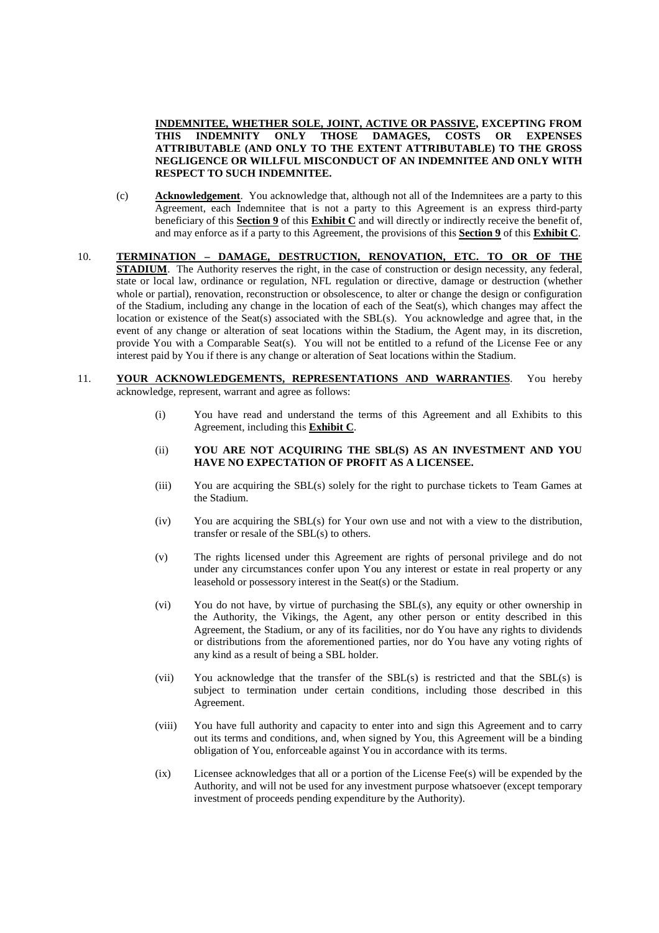**INDEMNITEE, WHETHER SOLE, JOINT, ACTIVE OR PASSIVE, EXCEPTING FROM THIS INDEMNITY ONLY THOSE DAMAGES, COSTS OR EXPENSES ATTRIBUTABLE (AND ONLY TO THE EXTENT ATTRIBUTABLE) TO THE GROSS NEGLIGENCE OR WILLFUL MISCONDUCT OF AN INDEMNITEE AND ONLY WITH RESPECT TO SUCH INDEMNITEE.**

- (c) **Acknowledgement**. You acknowledge that, although not all of the Indemnitees are a party to this Agreement, each Indemnitee that is not a party to this Agreement is an express third-party beneficiary of this **Section 9** of this **Exhibit C** and will directly or indirectly receive the benefit of, and may enforce as if a party to this Agreement, the provisions of this **Section 9** of this **Exhibit C**.
- 10. **TERMINATION DAMAGE, DESTRUCTION, RENOVATION, ETC. TO OR OF THE STADIUM**. The Authority reserves the right, in the case of construction or design necessity, any federal, state or local law, ordinance or regulation, NFL regulation or directive, damage or destruction (whether whole or partial), renovation, reconstruction or obsolescence, to alter or change the design or configuration of the Stadium, including any change in the location of each of the Seat(s), which changes may affect the location or existence of the Seat(s) associated with the SBL(s). You acknowledge and agree that, in the event of any change or alteration of seat locations within the Stadium, the Agent may, in its discretion, provide You with a Comparable Seat(s). You will not be entitled to a refund of the License Fee or any interest paid by You if there is any change or alteration of Seat locations within the Stadium.
- 11. **YOUR ACKNOWLEDGEMENTS, REPRESENTATIONS AND WARRANTIES**. You hereby acknowledge, represent, warrant and agree as follows:
	- (i) You have read and understand the terms of this Agreement and all Exhibits to this Agreement, including this **Exhibit C**.
	- (ii) **YOU ARE NOT ACQUIRING THE SBL(S) AS AN INVESTMENT AND YOU HAVE NO EXPECTATION OF PROFIT AS A LICENSEE.**
	- (iii) You are acquiring the SBL(s) solely for the right to purchase tickets to Team Games at the Stadium.
	- (iv) You are acquiring the SBL(s) for Your own use and not with a view to the distribution, transfer or resale of the SBL(s) to others.
	- (v) The rights licensed under this Agreement are rights of personal privilege and do not under any circumstances confer upon You any interest or estate in real property or any leasehold or possessory interest in the Seat(s) or the Stadium.
	- (vi) You do not have, by virtue of purchasing the SBL(s), any equity or other ownership in the Authority, the Vikings, the Agent, any other person or entity described in this Agreement, the Stadium, or any of its facilities, nor do You have any rights to dividends or distributions from the aforementioned parties, nor do You have any voting rights of any kind as a result of being a SBL holder.
	- (vii) You acknowledge that the transfer of the SBL(s) is restricted and that the SBL(s) is subject to termination under certain conditions, including those described in this Agreement.
	- (viii) You have full authority and capacity to enter into and sign this Agreement and to carry out its terms and conditions, and, when signed by You, this Agreement will be a binding obligation of You, enforceable against You in accordance with its terms.
	- (ix) Licensee acknowledges that all or a portion of the License Fee(s) will be expended by the Authority, and will not be used for any investment purpose whatsoever (except temporary investment of proceeds pending expenditure by the Authority).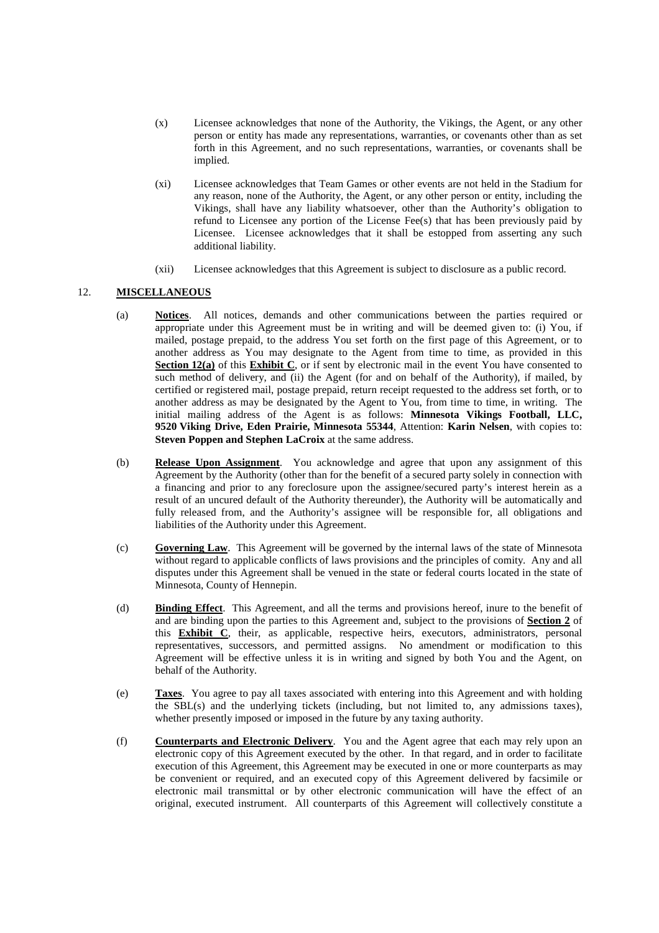- (x) Licensee acknowledges that none of the Authority, the Vikings, the Agent, or any other person or entity has made any representations, warranties, or covenants other than as set forth in this Agreement, and no such representations, warranties, or covenants shall be implied.
- (xi) Licensee acknowledges that Team Games or other events are not held in the Stadium for any reason, none of the Authority, the Agent, or any other person or entity, including the Vikings, shall have any liability whatsoever, other than the Authority's obligation to refund to Licensee any portion of the License Fee(s) that has been previously paid by Licensee. Licensee acknowledges that it shall be estopped from asserting any such additional liability.
- (xii) Licensee acknowledges that this Agreement is subject to disclosure as a public record.

## 12. **MISCELLANEOUS**

- (a) **Notices**. All notices, demands and other communications between the parties required or appropriate under this Agreement must be in writing and will be deemed given to: (i) You, if mailed, postage prepaid, to the address You set forth on the first page of this Agreement, or to another address as You may designate to the Agent from time to time, as provided in this **Section 12(a)** of this **Exhibit C**, or if sent by electronic mail in the event You have consented to such method of delivery, and (ii) the Agent (for and on behalf of the Authority), if mailed, by certified or registered mail, postage prepaid, return receipt requested to the address set forth, or to another address as may be designated by the Agent to You, from time to time, in writing. The initial mailing address of the Agent is as follows: **Minnesota Vikings Football, LLC, 9520 Viking Drive, Eden Prairie, Minnesota 55344**, Attention: **Karin Nelsen**, with copies to: **Steven Poppen and Stephen LaCroix** at the same address.
- (b) **Release Upon Assignment**. You acknowledge and agree that upon any assignment of this Agreement by the Authority (other than for the benefit of a secured party solely in connection with a financing and prior to any foreclosure upon the assignee/secured party's interest herein as a result of an uncured default of the Authority thereunder), the Authority will be automatically and fully released from, and the Authority's assignee will be responsible for, all obligations and liabilities of the Authority under this Agreement.
- (c) **Governing Law**. This Agreement will be governed by the internal laws of the state of Minnesota without regard to applicable conflicts of laws provisions and the principles of comity. Any and all disputes under this Agreement shall be venued in the state or federal courts located in the state of Minnesota, County of Hennepin.
- (d) **Binding Effect**. This Agreement, and all the terms and provisions hereof, inure to the benefit of and are binding upon the parties to this Agreement and, subject to the provisions of **Section 2** of this **Exhibit C**, their, as applicable, respective heirs, executors, administrators, personal representatives, successors, and permitted assigns. No amendment or modification to this Agreement will be effective unless it is in writing and signed by both You and the Agent, on behalf of the Authority.
- (e) **Taxes**. You agree to pay all taxes associated with entering into this Agreement and with holding the SBL(s) and the underlying tickets (including, but not limited to, any admissions taxes), whether presently imposed or imposed in the future by any taxing authority.
- (f) **Counterparts and Electronic Delivery**. You and the Agent agree that each may rely upon an electronic copy of this Agreement executed by the other. In that regard, and in order to facilitate execution of this Agreement, this Agreement may be executed in one or more counterparts as may be convenient or required, and an executed copy of this Agreement delivered by facsimile or electronic mail transmittal or by other electronic communication will have the effect of an original, executed instrument. All counterparts of this Agreement will collectively constitute a